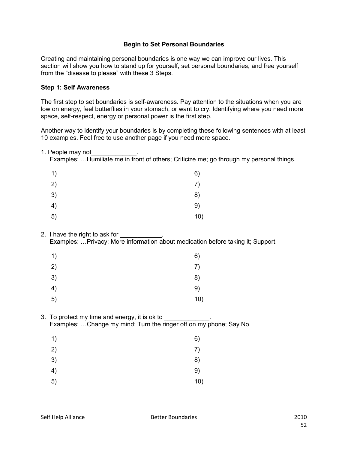## **Begin to Set Personal Boundaries**

Creating and maintaining personal boundaries is one way we can improve our lives. This section will show you how to stand up for yourself, set personal boundaries, and free yourself from the "disease to please" with these 3 Steps.

#### **Step 1: Self Awareness**

The first step to set boundaries is self-awareness. Pay attention to the situations when you are low on energy, feel butterflies in your stomach, or want to cry. Identifying where you need more space, self-respect, energy or personal power is the first step.

Another way to identify your boundaries is by completing these following sentences with at least 10 examples. Feel free to use another page if you need more space.

1. People may not

Examples: ...Humiliate me in front of others; Criticize me; go through my personal things.

| 1) | 6)  |
|----|-----|
| 2) | 7)  |
| 3) | 8)  |
| 4) | 9)  |
| 5) | 10) |

#### 2. I have the right to ask for \_\_\_\_\_\_\_\_\_\_\_\_. Examples: ... Privacy; More information about medication before taking it; Support.

| 1) | 6)  |
|----|-----|
| 2) | 7)  |
| 3) | 8)  |
| 4) | 9)  |
| 5) | 10) |

3. To protect my time and energy, it is ok to Examples: ...Change my mind; Turn the ringer off on my phone; Say No.

| 1) | 6)  |
|----|-----|
| 2) | 7)  |
| 3) | 8)  |
| 4) | 9)  |
| 5) | 10) |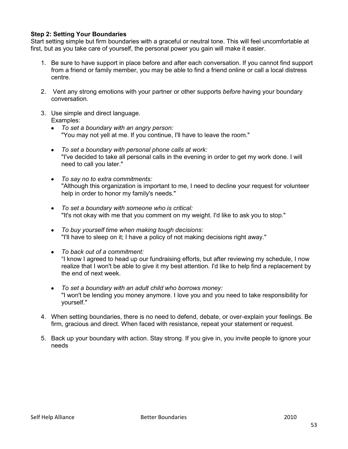### **Step 2: Setting Your Boundaries**

Start setting simple but firm boundaries with a graceful or neutral tone. This will feel uncomfortable at first, but as you take care of yourself, the personal power you gain will make it easier.

- 1. Be sure to have support in place before and after each conversation. If you cannot find support from a friend or family member, you may be able to find a friend online or call a local distress centre.
- 2. Vent any strong emotions with your partner or other supports *before* having your boundary conversation.
- 3. Use simple and direct language. Examples:
	- $\bullet$ *To set a boundary with an angry person:* "You may not yell at me. If you continue, I'll have to leave the room."
	- *To set a boundary with personal phone calls at work:* "I've decided to take all personal calls in the evening in order to get my work done. I will need to call you later."
	- *To say no to extra commitments:* "Although this organization is important to me, I need to decline your request for volunteer help in order to honor my family's needs."
	- *To set a boundary with someone who is critical:* "It's not okay with me that you comment on my weight. I'd like to ask you to stop."
	- *To buy yourself time when making tough decisions:* "I'll have to sleep on it; I have a policy of not making decisions right away."
	- $\bullet$ *To back out of a commitment:* "I know I agreed to head up our fundraising efforts, but after reviewing my schedule, I now realize that I won't be able to give it my best attention. I'd like to help find a replacement by the end of next week.
	- *To set a boundary with an adult child who borrows money:*  $\bullet$ "I won't be lending you money anymore. I love you and you need to take responsibility for yourself."
- 4. When setting boundaries, there is no need to defend, debate, or over-explain your feelings. Be firm, gracious and direct. When faced with resistance, repeat your statement or request.
- 5. Back up your boundary with action. Stay strong. If you give in, you invite people to ignore your needs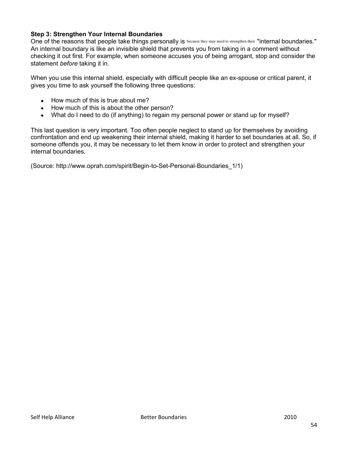## **Step 3: Strengthen Your Internal Boundaries**

One of the reasons that people take things personally is because they may need to strengthen their "internal boundaries." An internal boundary is like an invisible shield that prevents you from taking in a comment without checking it out first. For example, when someone accuses you of being arrogant, stop and consider the statement *before* taking it in.

When you use this internal shield, especially with difficult people like an ex-spouse or critical parent, it gives you time to ask yourself the following three questions:

- How much of this is true about me?
- How much of this is about the other person?
- What do I need to do (if anything) to regain my personal power or stand up for myself?

This last question is very important. Too often people neglect to stand up for themselves by avoiding confrontation and end up weakening their internal shield, making it harder to set boundaries at all. So, if someone offends you, it may be necessary to let them know in order to protect and strengthen your internal boundaries.

(Source: http://www.oprah.com/spirit/Begin-to-Set-Personal-Boundaries\_1/1)